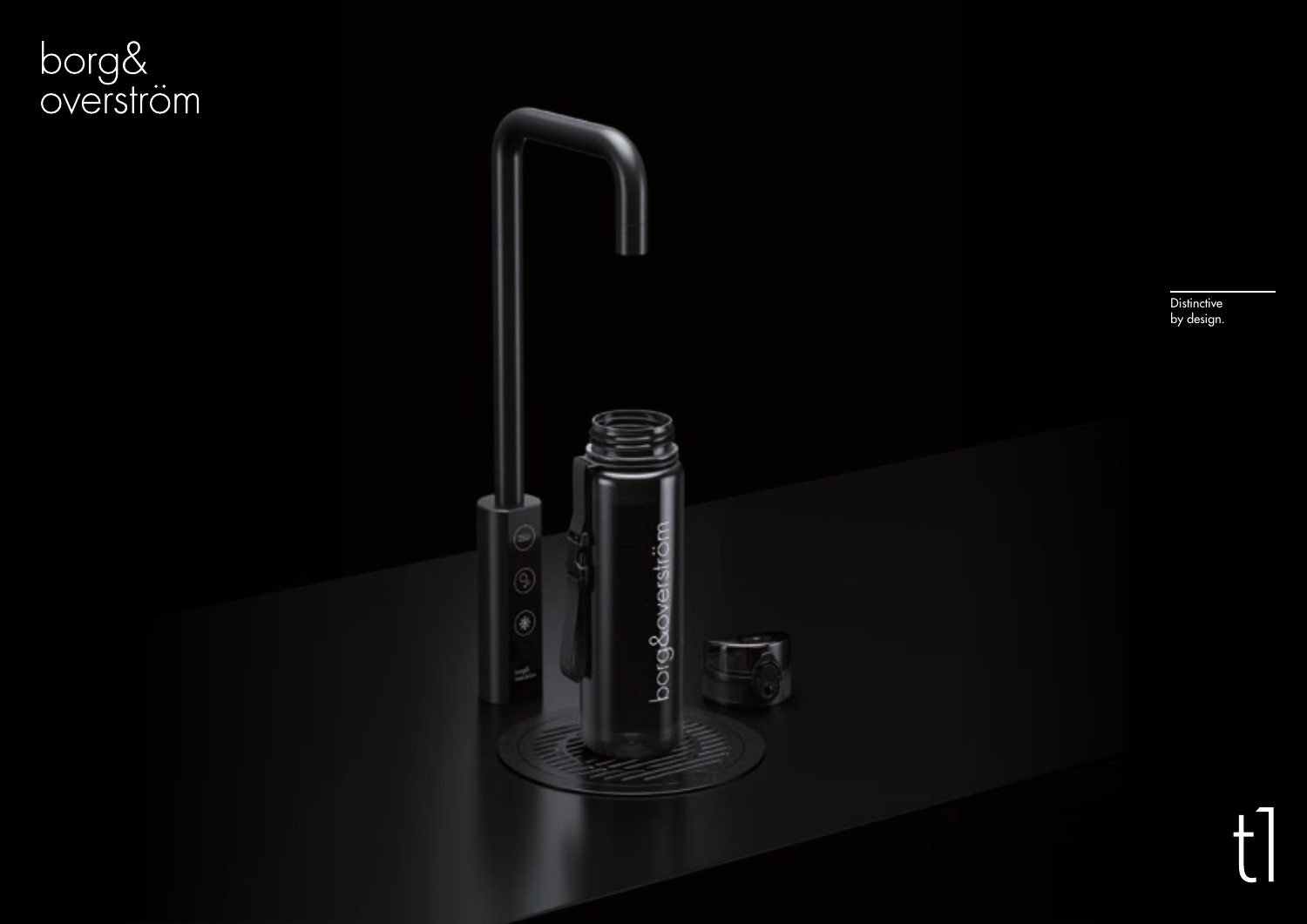

Distinctive by design.

 $\mathbf{f}$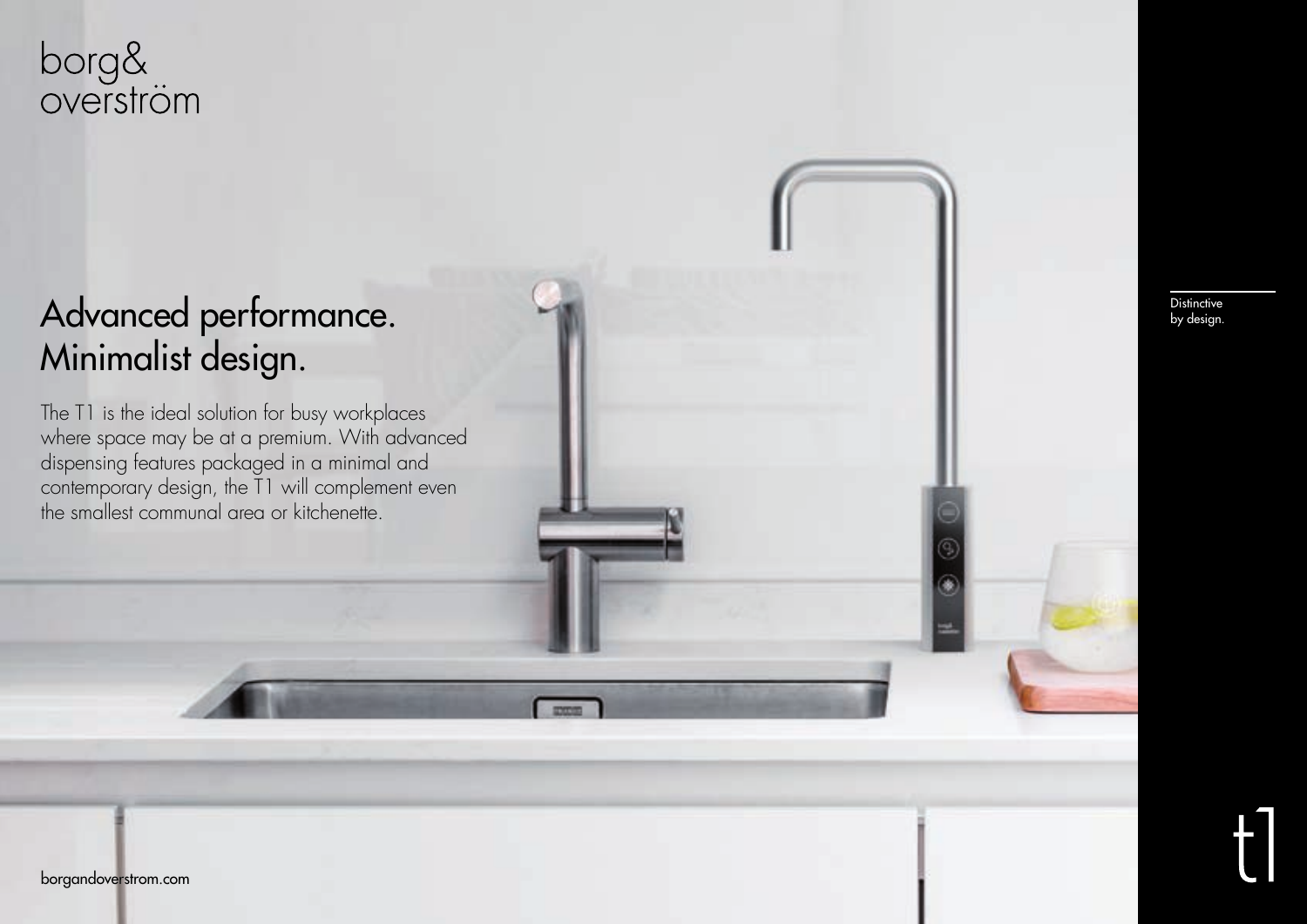### Advanced performance. Minimalist design.

The T1 is the ideal solution for busy workplaces where space may be at a premium. With advanced dispensing features packaged in a minimal and contemporary design, the T1 will complement even the smallest communal area or kitchenette.

Distinctive by design.

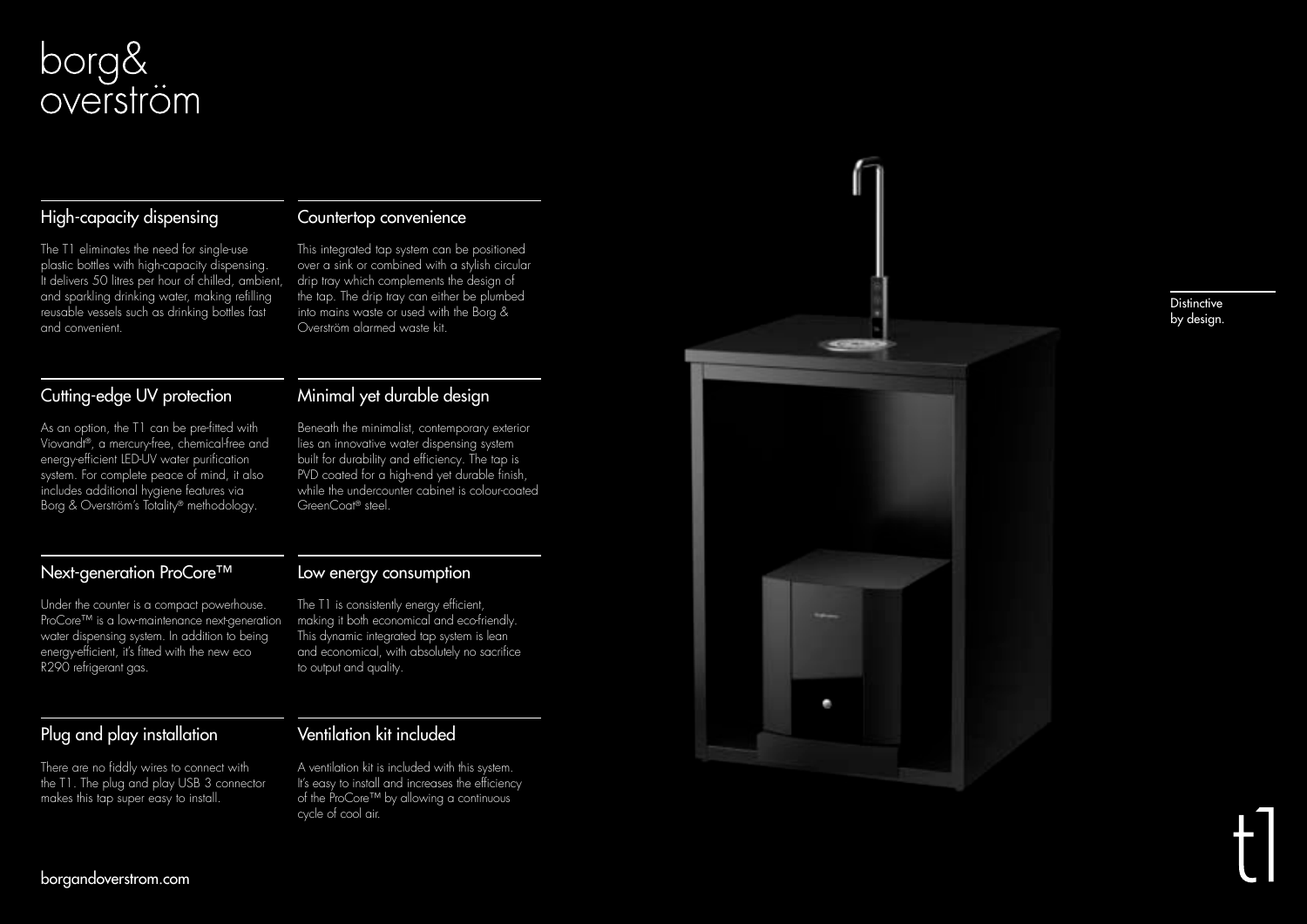#### High-capacity dispensing

The T1 eliminates the need for single-use plastic bottles with high-capacity dispensing. It delivers 50 litres per hour of chilled, ambient, and sparkling drinking water, making refilling reusable vessels such as drinking bottles fast and convenient.

#### Cutting-edge UV protection

As an option, the T1 can be pre-fitted with Viovandt ®, a mercury-free, chemical-free and energy-efficient LED-UV water purification system. For complete peace of mind, it also includes additional hygiene features via Borg & Overström's Totality ® methodology.

#### Next-generation ProCore™

Under the counter is a compact powerhouse. ProCore™ is a low-maintenance next-generation water dispensing system. In addition to being energy-efficient, it's fitted with the new eco R290 refrigerant gas.

#### Plug and play installation

There are no fiddly wires to connect with the T1. The plug and play USB 3 connector makes this tap super easy to install.

#### Countertop convenience

This integrated tap system can be positioned over a sink or combined with a stylish circular drip tray which complements the design of the tap. The drip tray can either be plumbed into mains waste or used with the Borg & Overström alarmed waste kit.

#### Minimal yet durable design

Beneath the minimalist, contemporary exterior lies an innovative water dispensing system built for durability and efficiency. The tap is PVD coated for a high-end yet durable finish, while the undercounter cabinet is colour-coated GreenCoat ® steel.

#### Low energy consumption

The T1 is consistently energy efficient, making it both economical and eco-friendly. This dynamic integrated tap system is lean and economical, with absolutely no sacrifice to output and quality.

Ventilation kit included

A ventilation kit is included with this system. It's easy to install and increases the efficiency of the ProCore™ by allowing a continuous cycle of cool air.



#### **Distinctive** by design.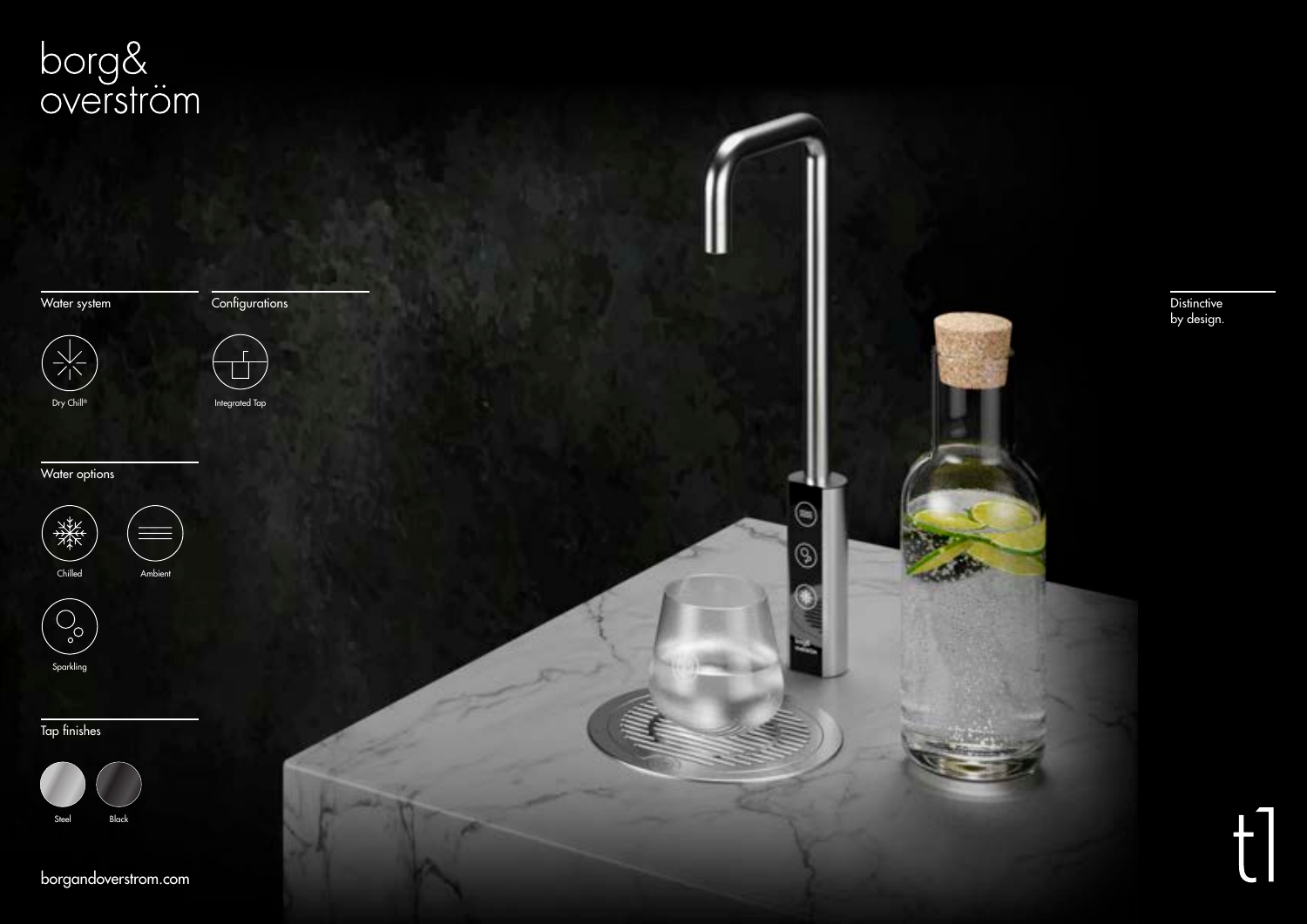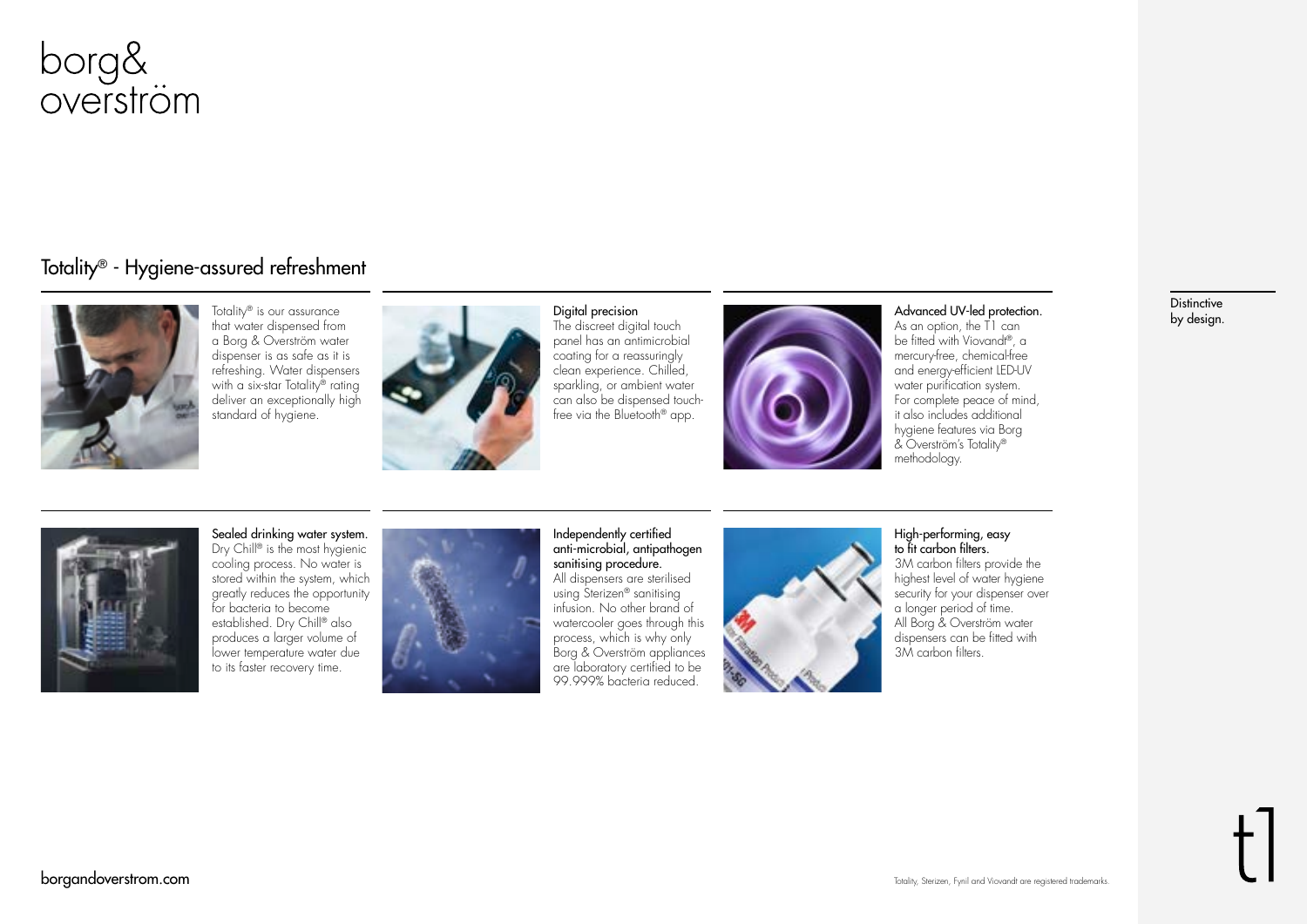

#### Totality® - Hygiene-assured refreshment



Totality® is our assurance that water dispensed from a Borg & Overström water dispenser is as safe as it is refreshing. Water dispensers with a six-star Totality® rating deliver an exceptionally high standard of hygiene.



#### Digital precision

The discreet digital touch panel has an antimicrobial coating for a reassuringly clean experience. Chilled, sparkling, or ambient water can also be dispensed touchfree via the Bluetooth® app.



#### Advanced UV-led protection.

As an option, the T1 can be fitted with Viovandt®, a mercury-free, chemical-free and energy-efficient LED-UV water purification system. For complete peace of mind, it also includes additional hygiene features via Borg & Overström's Totality® methodology.



Sealed drinking water system. Dry Chill<sup>®</sup> is the most hygienic cooling process. No water is stored within the system, which greatly reduces the opportunity for bacteria to become established. Dry Chill® also produces a larger volume of lower temperature water due to its faster recovery time.



Independently certified anti-microbial, antipathogen sanitising procedure. All dispensers are sterilised using Sterizen® sanitising infusion. No other brand of watercooler goes through this process, which is why only Borg & Overström appliances are laboratory certified to be 99.999% bacteria reduced.



#### High-performing, easy to fit carbon filters. 3M carbon filters provide the highest level of water hygiene security for your dispenser over a longer period of time. All Borg & Overström water

dispensers can be fitted with 3M carbon filters.

#### **Distinctive** by design.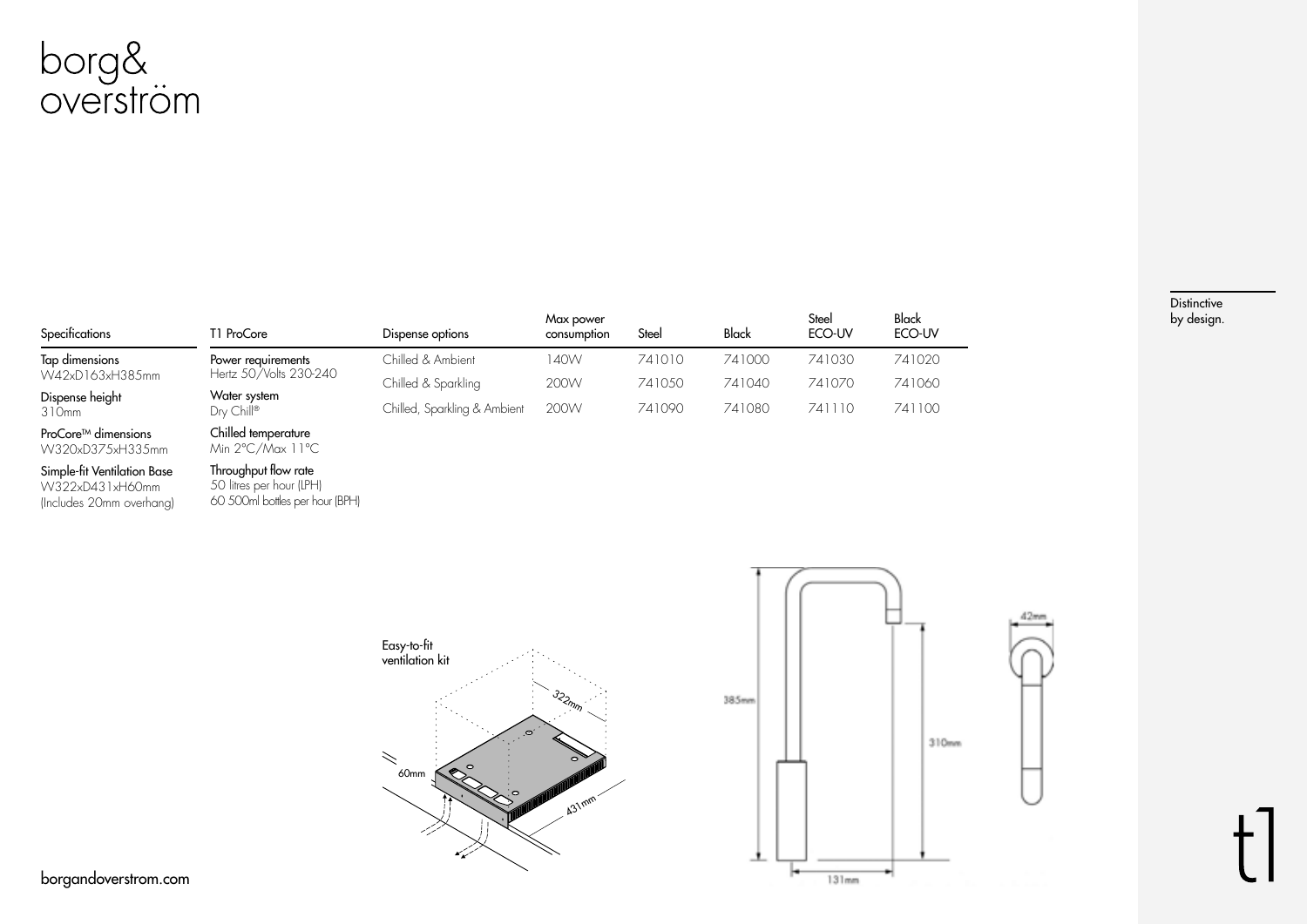

| Specifications                     | T1 ProCore                                   | Dispense options             | Max power<br>consumption | Steel  | Black  | Steel<br>ECO-UV | Black<br>ECO-UV |
|------------------------------------|----------------------------------------------|------------------------------|--------------------------|--------|--------|-----------------|-----------------|
| Tap dimensions                     | Power requirements<br>Hertz 50/Volts 230-240 | Chilled & Ambient            | 140W                     | 741010 | 741000 | 741030          | 741020          |
|                                    |                                              | Chilled & Sparkling          | 200W                     | 741050 | 741040 | 741070          | 741060          |
| 310mm                              | Dry Chill®                                   | Chilled, Sparkling & Ambient | 200W                     | 741090 | 741080 | 741110          | 741100          |
| W42xD163xH385mm<br>Dispense height | Water system<br>.                            |                              |                          |        |        |                 |                 |

**Distinctive** by design.

ProCore<sup>™</sup> dimensions W320xD375xH335mm Chilled temperature Min 2°C/Max 11°C

#### Simple-fit Ventilation Base

W322xD431xH60mm (Includes 20mm overhang)

#### Throughput flow rate 50 litres per hour (LPH) 60 500ml bottles per hour (BPH)

Easy-to-fit ventilation kit 322mm  $\prec$  $60$ mm  $431$ mm

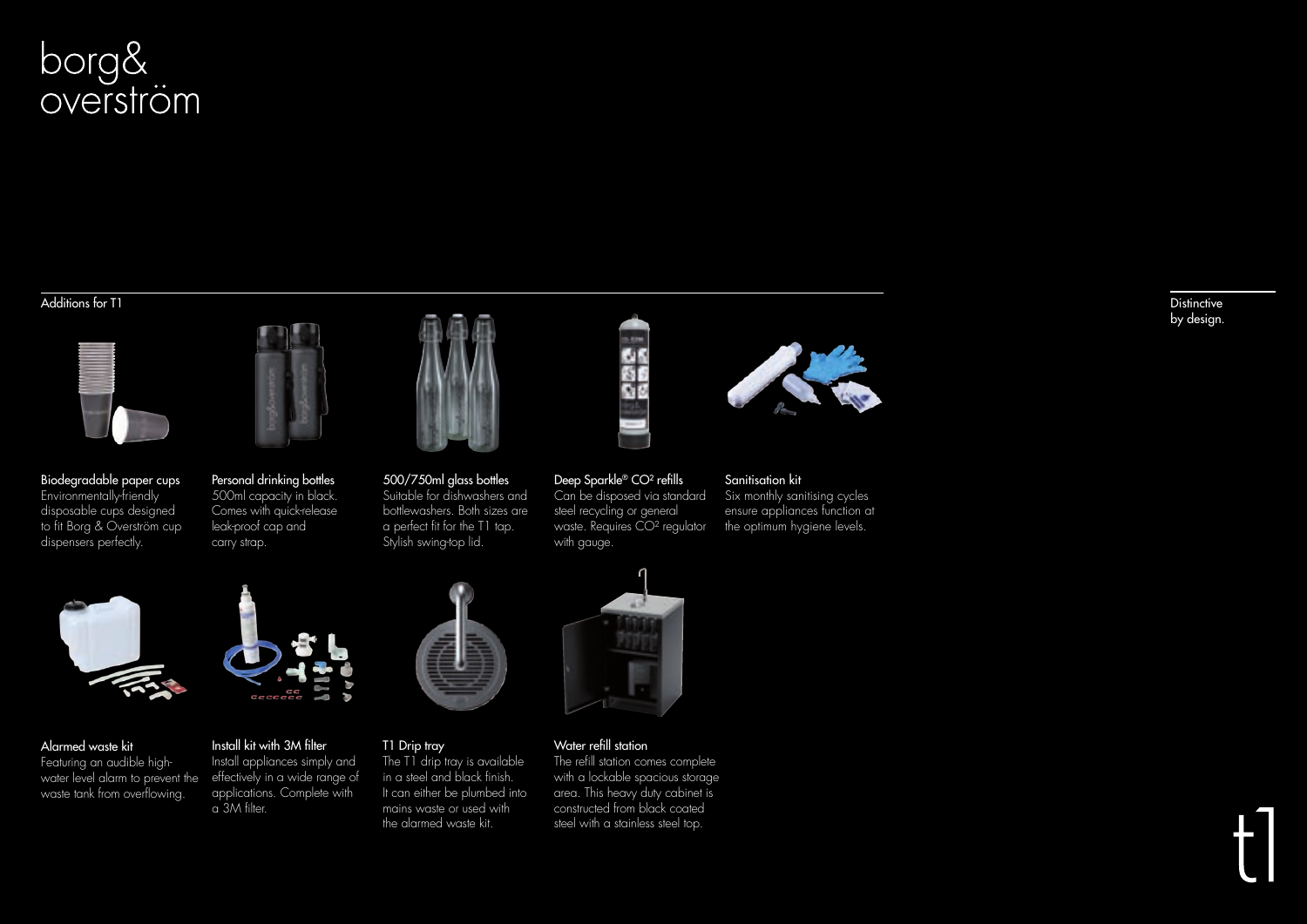#### Additions for T1





Personal drinking bottles 500ml capacity in black. Comes with quick-release leak-proof cap and carry strap.





500/750ml glass bottles Suitable for dishwashers and bottlewashers. Both sizes are a perfect fit for the T1 tap. Stylish swing-top lid.



#### Deep Sparkle® CO² refills Can be disposed via standard

steel recycling or general waste. Requires CO² regulator with gauge.



Sanitisation kit

Six monthly sanitising cycles ensure appliances function at the optimum hygiene levels.

**Distinctive** by design.



water level alarm to prevent the effectively in a wide range of Alarmed waste kit Featuring an audible highwaste tank from overflowing.



#### Install kit with 3M filter Install appliances simply and applications. Complete with

a 3M filter.

### T1 Drip tray

The T1 drip tray is available in a steel and black finish. It can either be plumbed into mains waste or used with the alarmed waste kit.



### Water refill station

steel with a stainless steel top.